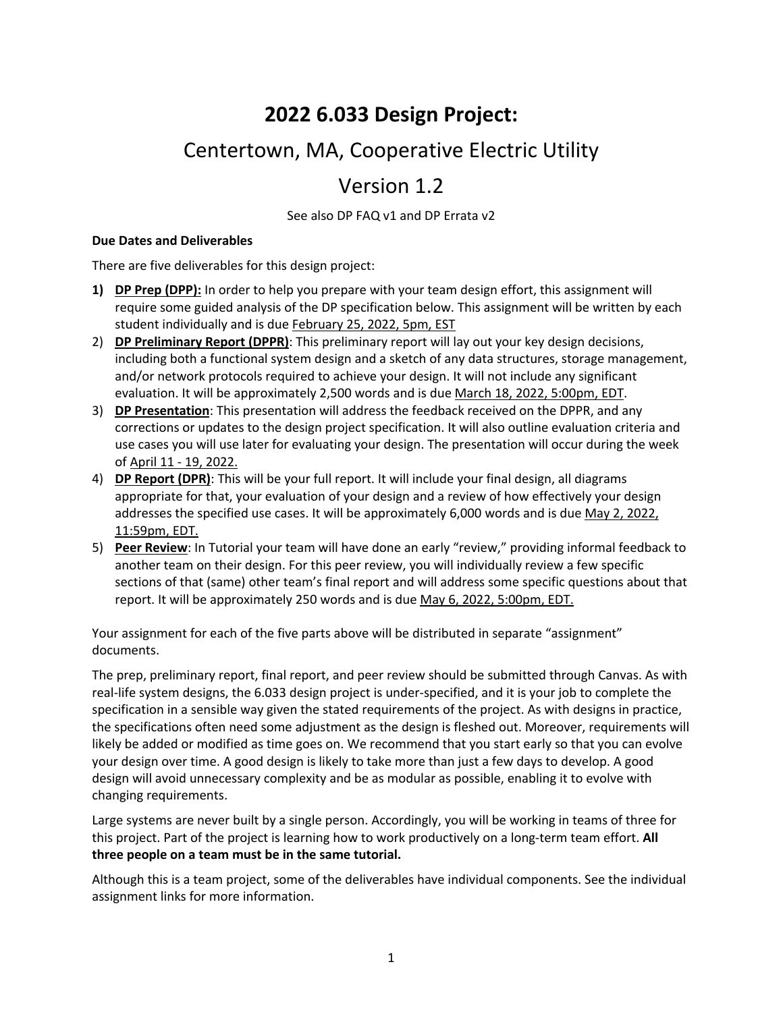# **2022 6.033 Design Project:**

# Centertown, MA, Cooperative Electric Utility

# Version 1.2

See also DP FAQ v1 and DP Errata v2

#### **Due Dates and Deliverables**

There are five deliverables for this design project:

- **1) DP Prep (DPP):** In order to help you prepare with your team design effort, this assignment will require some guided analysis of the DP specification below. This assignment will be written by each student individually and is due February 25, 2022, 5pm, EST
- 2) **DP Preliminary Report (DPPR)**: This preliminary report will lay out your key design decisions, including both a functional system design and a sketch of any data structures, storage management, and/or network protocols required to achieve your design. It will not include any significant evaluation. It will be approximately 2,500 words and is due March 18, 2022, 5:00pm, EDT.
- 3) **DP Presentation**: This presentation will address the feedback received on the DPPR, and any corrections or updates to the design project specification. It will also outline evaluation criteria and use cases you will use later for evaluating your design. The presentation will occur during the week of April 11 - 19, 2022.
- 4) **DP Report (DPR)**: This will be your full report. It will include your final design, all diagrams appropriate for that, your evaluation of your design and a review of how effectively your design addresses the specified use cases. It will be approximately 6,000 words and is due May 2, 2022, 11:59pm, EDT.
- 5) **Peer Review**: In Tutorial your team will have done an early "review," providing informal feedback to another team on their design. For this peer review, you will individually review a few specific sections of that (same) other team's final report and will address some specific questions about that report. It will be approximately 250 words and is due May 6, 2022, 5:00pm, EDT.

Your assignment for each of the five parts above will be distributed in separate "assignment" documents.

The prep, preliminary report, final report, and peer review should be submitted through Canvas. As with real-life system designs, the 6.033 design project is under-specified, and it is your job to complete the specification in a sensible way given the stated requirements of the project. As with designs in practice, the specifications often need some adjustment as the design is fleshed out. Moreover, requirements will likely be added or modified as time goes on. We recommend that you start early so that you can evolve your design over time. A good design is likely to take more than just a few days to develop. A good design will avoid unnecessary complexity and be as modular as possible, enabling it to evolve with changing requirements.

Large systems are never built by a single person. Accordingly, you will be working in teams of three for this project. Part of the project is learning how to work productively on a long-term team effort. **All three people on a team must be in the same tutorial.**

Although this is a team project, some of the deliverables have individual components. See the individual assignment links for more information.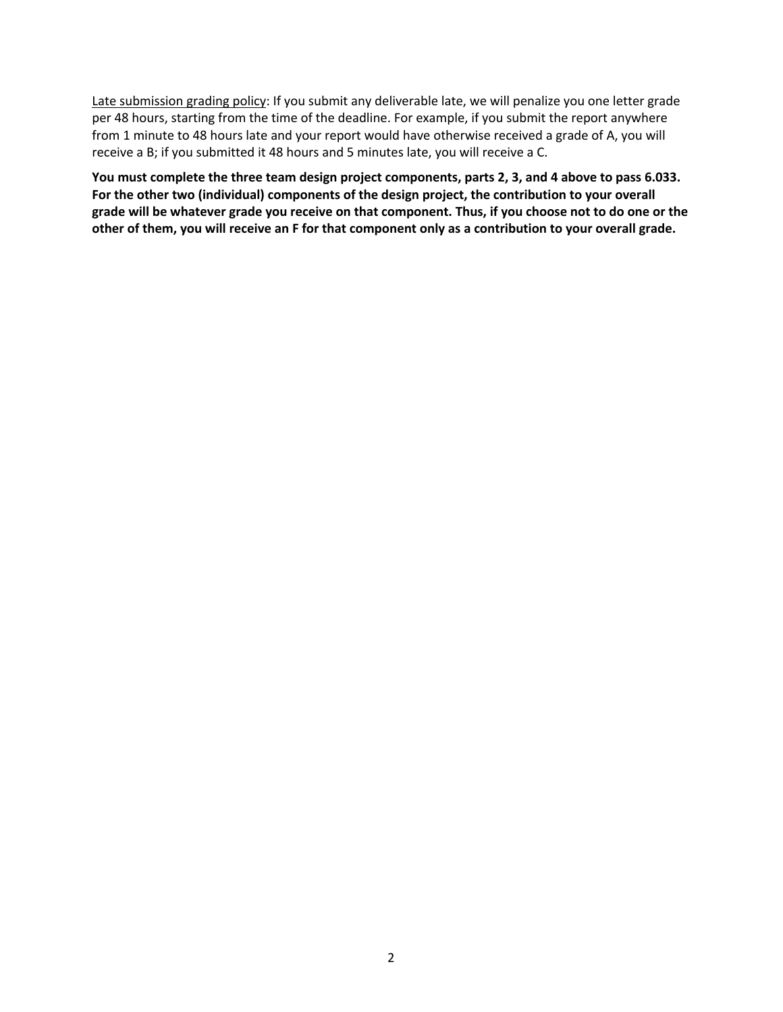Late submission grading policy: If you submit any deliverable late, we will penalize you one letter grade per 48 hours, starting from the time of the deadline. For example, if you submit the report anywhere from 1 minute to 48 hours late and your report would have otherwise received a grade of A, you will receive a B; if you submitted it 48 hours and 5 minutes late, you will receive a C.

**You must complete the three team design project components, parts 2, 3, and 4 above to pass 6.033. For the other two (individual) components of the design project, the contribution to your overall grade will be whatever grade you receive on that component. Thus, if you choose not to do one or the other of them, you will receive an F for that component only as a contribution to your overall grade.**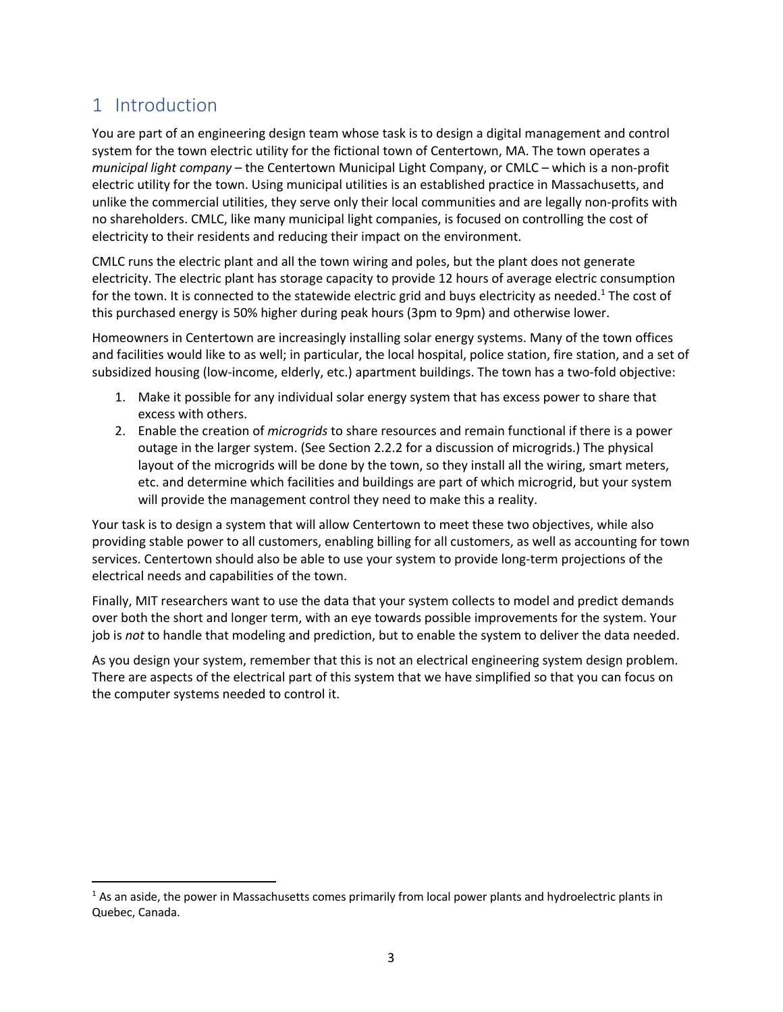## 1 Introduction

You are part of an engineering design team whose task is to design a digital management and control system for the town electric utility for the fictional town of Centertown, MA. The town operates a *municipal light company* – the Centertown Municipal Light Company, or CMLC – which is a non-profit electric utility for the town. Using municipal utilities is an established practice in Massachusetts, and unlike the commercial utilities, they serve only their local communities and are legally non-profits with no shareholders. CMLC, like many municipal light companies, is focused on controlling the cost of electricity to their residents and reducing their impact on the environment.

CMLC runs the electric plant and all the town wiring and poles, but the plant does not generate electricity. The electric plant has storage capacity to provide 12 hours of average electric consumption for the town. It is connected to the statewide electric grid and buys electricity as needed.<sup>1</sup> The cost of this purchased energy is 50% higher during peak hours (3pm to 9pm) and otherwise lower.

Homeowners in Centertown are increasingly installing solar energy systems. Many of the town offices and facilities would like to as well; in particular, the local hospital, police station, fire station, and a set of subsidized housing (low-income, elderly, etc.) apartment buildings. The town has a two-fold objective:

- 1. Make it possible for any individual solar energy system that has excess power to share that excess with others.
- 2. Enable the creation of *microgrids* to share resources and remain functional if there is a power outage in the larger system. (See Section 2.2.2 for a discussion of microgrids.) The physical layout of the microgrids will be done by the town, so they install all the wiring, smart meters, etc. and determine which facilities and buildings are part of which microgrid, but your system will provide the management control they need to make this a reality.

Your task is to design a system that will allow Centertown to meet these two objectives, while also providing stable power to all customers, enabling billing for all customers, as well as accounting for town services. Centertown should also be able to use your system to provide long-term projections of the electrical needs and capabilities of the town.

Finally, MIT researchers want to use the data that your system collects to model and predict demands over both the short and longer term, with an eye towards possible improvements for the system. Your job is *not* to handle that modeling and prediction, but to enable the system to deliver the data needed.

As you design your system, remember that this is not an electrical engineering system design problem. There are aspects of the electrical part of this system that we have simplified so that you can focus on the computer systems needed to control it.

 $<sup>1</sup>$  As an aside, the power in Massachusetts comes primarily from local power plants and hydroelectric plants in</sup> Quebec, Canada.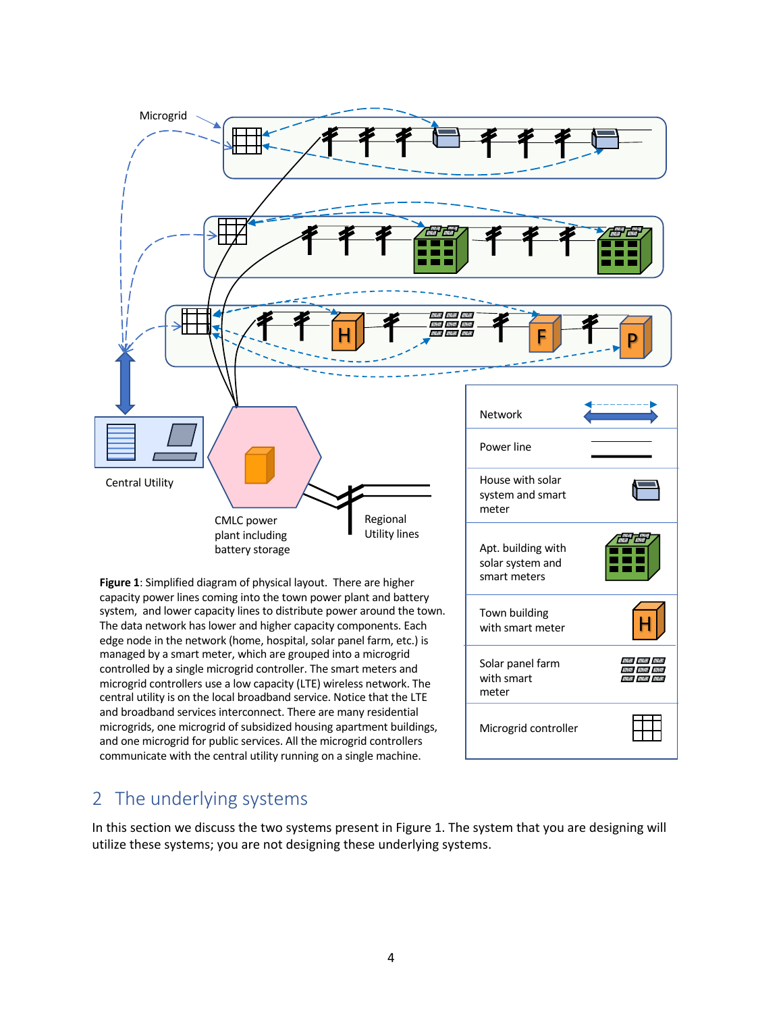

system, and lower capacity lines to distribute power around the town. The data network has lower and higher capacity components. Each edge node in the network (home, hospital, solar panel farm, etc.) is managed by a smart meter, which are grouped into a microgrid controlled by a single microgrid controller. The smart meters and microgrid controllers use a low capacity (LTE) wireless network. The central utility is on the local broadband service. Notice that the LTE and broadband services interconnect. There are many residential microgrids, one microgrid of subsidized housing apartment buildings, and one microgrid for public services. All the microgrid controllers communicate with the central utility running on a single machine.



## 2 The underlying systems

In this section we discuss the two systems present in Figure 1. The system that you are designing will utilize these systems; you are not designing these underlying systems.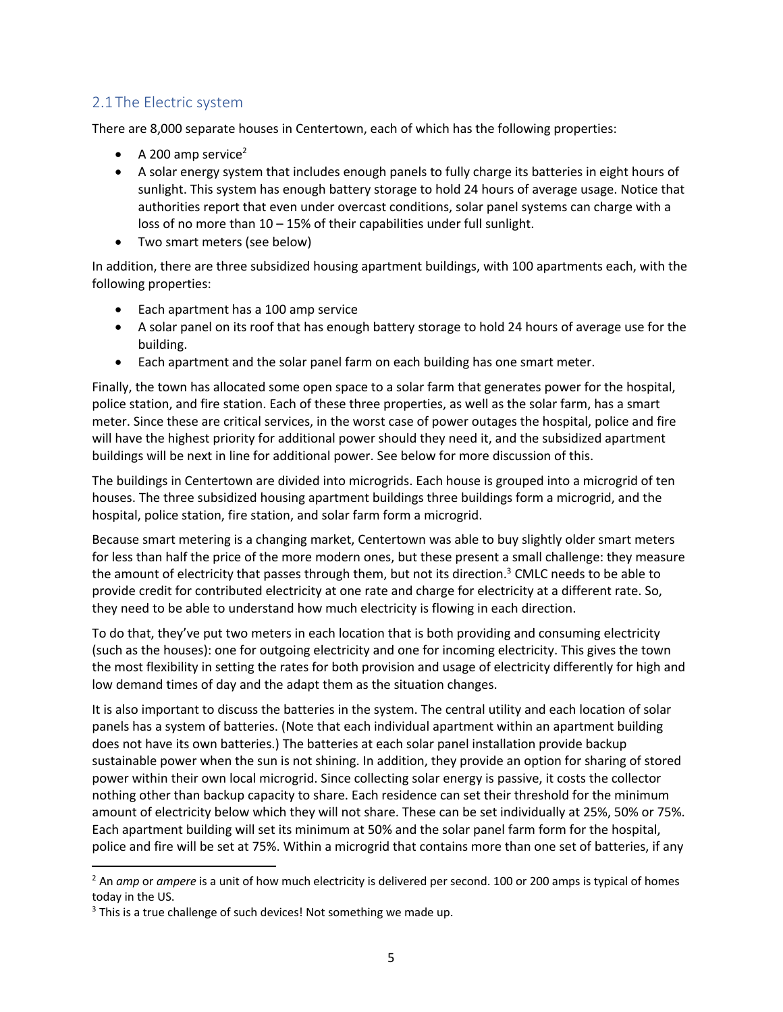### 2.1 The Electric system

There are 8,000 separate houses in Centertown, each of which has the following properties:

- A 200 amp service<sup>2</sup>
- A solar energy system that includes enough panels to fully charge its batteries in eight hours of sunlight. This system has enough battery storage to hold 24 hours of average usage. Notice that authorities report that even under overcast conditions, solar panel systems can charge with a loss of no more than 10 – 15% of their capabilities under full sunlight.
- Two smart meters (see below)

In addition, there are three subsidized housing apartment buildings, with 100 apartments each, with the following properties:

- Each apartment has a 100 amp service
- A solar panel on its roof that has enough battery storage to hold 24 hours of average use for the building.
- Each apartment and the solar panel farm on each building has one smart meter.

Finally, the town has allocated some open space to a solar farm that generates power for the hospital, police station, and fire station. Each of these three properties, as well as the solar farm, has a smart meter. Since these are critical services, in the worst case of power outages the hospital, police and fire will have the highest priority for additional power should they need it, and the subsidized apartment buildings will be next in line for additional power. See below for more discussion of this.

The buildings in Centertown are divided into microgrids. Each house is grouped into a microgrid of ten houses. The three subsidized housing apartment buildings three buildings form a microgrid, and the hospital, police station, fire station, and solar farm form a microgrid.

Because smart metering is a changing market, Centertown was able to buy slightly older smart meters for less than half the price of the more modern ones, but these present a small challenge: they measure the amount of electricity that passes through them, but not its direction.<sup>3</sup> CMLC needs to be able to provide credit for contributed electricity at one rate and charge for electricity at a different rate. So, they need to be able to understand how much electricity is flowing in each direction.

To do that, they've put two meters in each location that is both providing and consuming electricity (such as the houses): one for outgoing electricity and one for incoming electricity. This gives the town the most flexibility in setting the rates for both provision and usage of electricity differently for high and low demand times of day and the adapt them as the situation changes.

It is also important to discuss the batteries in the system. The central utility and each location of solar panels has a system of batteries. (Note that each individual apartment within an apartment building does not have its own batteries.) The batteries at each solar panel installation provide backup sustainable power when the sun is not shining. In addition, they provide an option for sharing of stored power within their own local microgrid. Since collecting solar energy is passive, it costs the collector nothing other than backup capacity to share. Each residence can set their threshold for the minimum amount of electricity below which they will not share. These can be set individually at 25%, 50% or 75%. Each apartment building will set its minimum at 50% and the solar panel farm form for the hospital, police and fire will be set at 75%. Within a microgrid that contains more than one set of batteries, if any

<sup>2</sup> An *amp* or *ampere* is a unit of how much electricity is delivered per second. 100 or 200 amps is typical of homes today in the US.

 $3$  This is a true challenge of such devices! Not something we made up.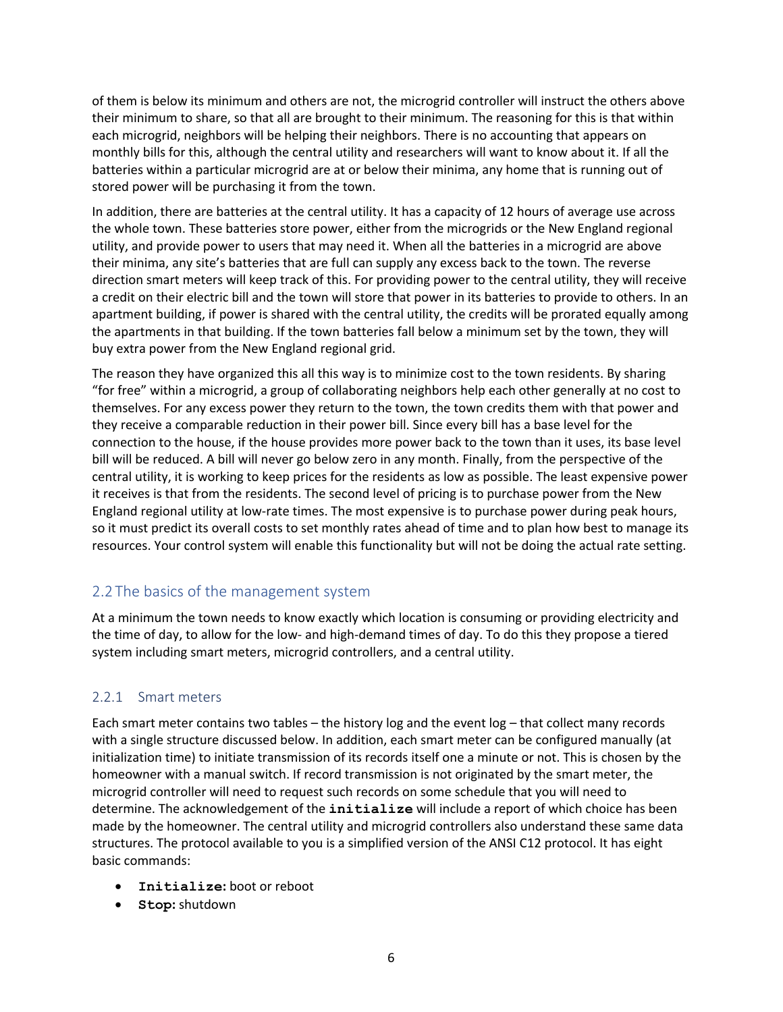of them is below its minimum and others are not, the microgrid controller will instruct the others above their minimum to share, so that all are brought to their minimum. The reasoning for this is that within each microgrid, neighbors will be helping their neighbors. There is no accounting that appears on monthly bills for this, although the central utility and researchers will want to know about it. If all the batteries within a particular microgrid are at or below their minima, any home that is running out of stored power will be purchasing it from the town.

In addition, there are batteries at the central utility. It has a capacity of 12 hours of average use across the whole town. These batteries store power, either from the microgrids or the New England regional utility, and provide power to users that may need it. When all the batteries in a microgrid are above their minima, any site's batteries that are full can supply any excess back to the town. The reverse direction smart meters will keep track of this. For providing power to the central utility, they will receive a credit on their electric bill and the town will store that power in its batteries to provide to others. In an apartment building, if power is shared with the central utility, the credits will be prorated equally among the apartments in that building. If the town batteries fall below a minimum set by the town, they will buy extra power from the New England regional grid.

The reason they have organized this all this way is to minimize cost to the town residents. By sharing "for free" within a microgrid, a group of collaborating neighbors help each other generally at no cost to themselves. For any excess power they return to the town, the town credits them with that power and they receive a comparable reduction in their power bill. Since every bill has a base level for the connection to the house, if the house provides more power back to the town than it uses, its base level bill will be reduced. A bill will never go below zero in any month. Finally, from the perspective of the central utility, it is working to keep prices for the residents as low as possible. The least expensive power it receives is that from the residents. The second level of pricing is to purchase power from the New England regional utility at low-rate times. The most expensive is to purchase power during peak hours, so it must predict its overall costs to set monthly rates ahead of time and to plan how best to manage its resources. Your control system will enable this functionality but will not be doing the actual rate setting.

### 2.2 The basics of the management system

At a minimum the town needs to know exactly which location is consuming or providing electricity and the time of day, to allow for the low- and high-demand times of day. To do this they propose a tiered system including smart meters, microgrid controllers, and a central utility.

#### 2.2.1 Smart meters

Each smart meter contains two tables – the history log and the event log – that collect many records with a single structure discussed below. In addition, each smart meter can be configured manually (at initialization time) to initiate transmission of its records itself one a minute or not. This is chosen by the homeowner with a manual switch. If record transmission is not originated by the smart meter, the microgrid controller will need to request such records on some schedule that you will need to determine. The acknowledgement of the **initialize** will include a report of which choice has been made by the homeowner. The central utility and microgrid controllers also understand these same data structures. The protocol available to you is a simplified version of the ANSI C12 protocol. It has eight basic commands:

- **Initialize:** boot or reboot
- **Stop:** shutdown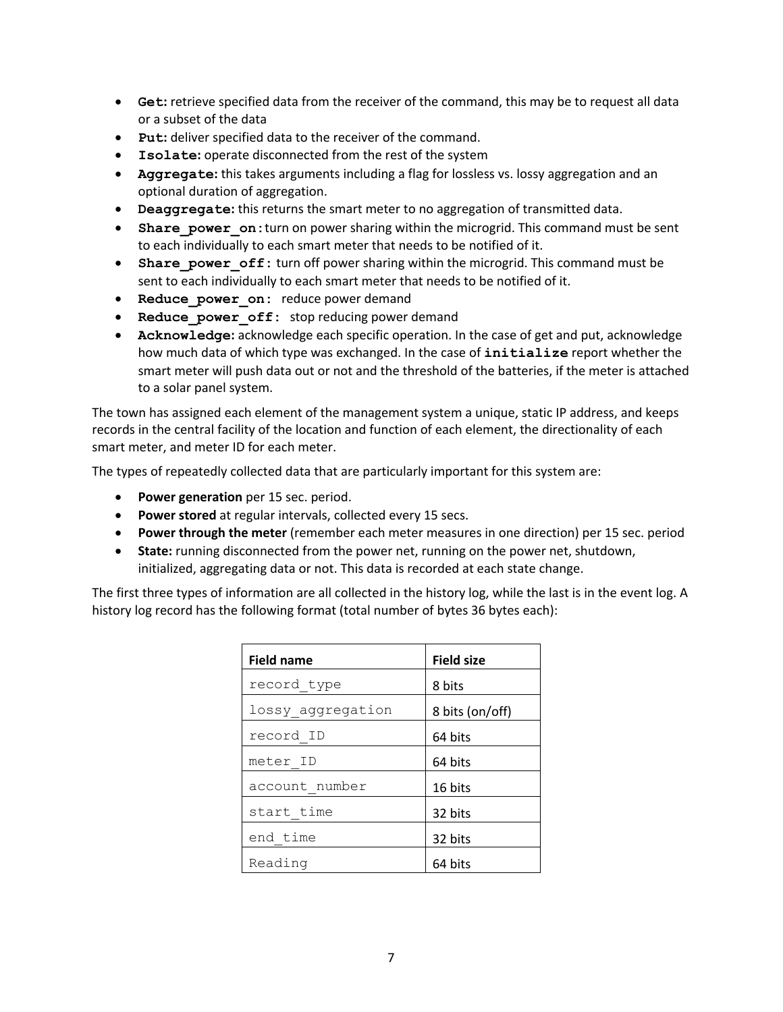- **Get:** retrieve specified data from the receiver of the command, this may be to request all data or a subset of the data
- **Put:** deliver specified data to the receiver of the command.
- **Isolate:** operate disconnected from the rest of the system
- **Aggregate:** this takes arguments including a flag for lossless vs. lossy aggregation and an optional duration of aggregation.
- **Deaggregate:** this returns the smart meter to no aggregation of transmitted data.
- Share power on: turn on power sharing within the microgrid. This command must be sent to each individually to each smart meter that needs to be notified of it.
- **Share power off:** turn off power sharing within the microgrid. This command must be sent to each individually to each smart meter that needs to be notified of it.
- **Reduce power on: reduce power demand**
- **Reduce power off:** stop reducing power demand
- **Acknowledge:** acknowledge each specific operation. In the case of get and put, acknowledge how much data of which type was exchanged. In the case of **initialize** report whether the smart meter will push data out or not and the threshold of the batteries, if the meter is attached to a solar panel system.

The town has assigned each element of the management system a unique, static IP address, and keeps records in the central facility of the location and function of each element, the directionality of each smart meter, and meter ID for each meter.

The types of repeatedly collected data that are particularly important for this system are:

- **Power generation** per 15 sec. period.
- **Power stored** at regular intervals, collected every 15 secs.
- **Power through the meter** (remember each meter measures in one direction) per 15 sec. period
- **State:** running disconnected from the power net, running on the power net, shutdown, initialized, aggregating data or not. This data is recorded at each state change.

The first three types of information are all collected in the history log, while the last is in the event log. A history log record has the following format (total number of bytes 36 bytes each):

| <b>Field name</b> | <b>Field size</b> |
|-------------------|-------------------|
| record type       | 8 bits            |
| lossy aggregation | 8 bits (on/off)   |
| record ID         | 64 bits           |
| meter ID          | 64 bits           |
| account number    | 16 bits           |
| start time        | 32 bits           |
| end time          | 32 bits           |
| Reading           | 64 bits           |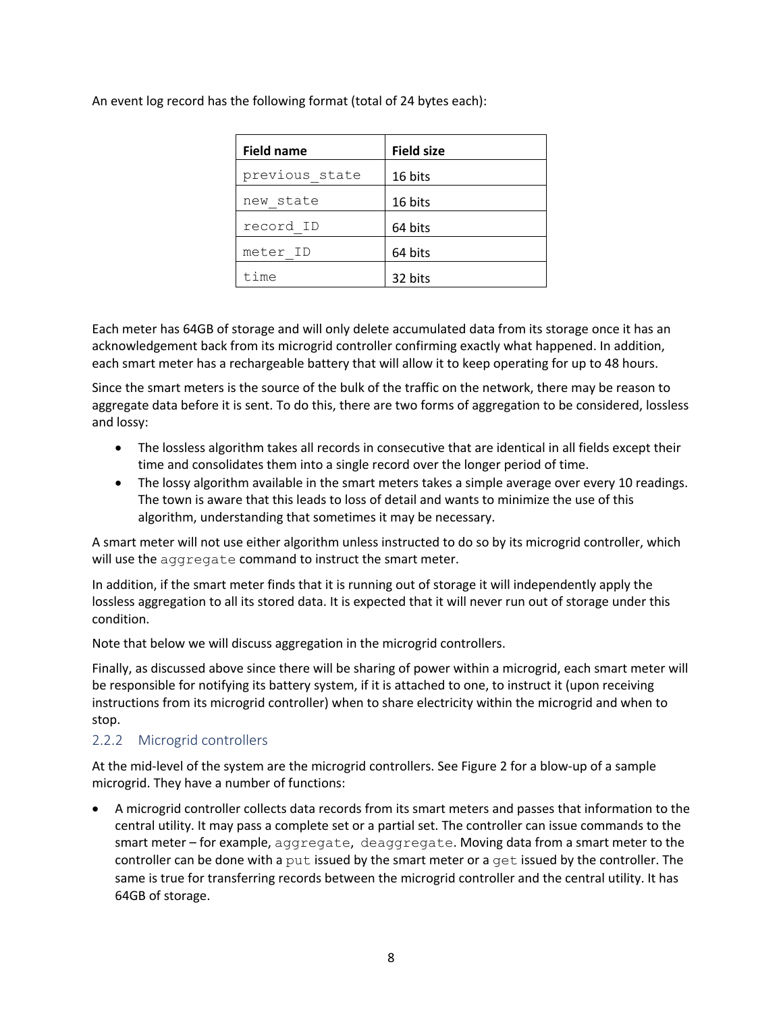An event log record has the following format (total of 24 bytes each):

| <b>Field name</b> | <b>Field size</b> |
|-------------------|-------------------|
| previous state    | 16 bits           |
| new state         | 16 bits           |
| record ID         | 64 bits           |
| meter ID          | 64 bits           |
| time              | 32 bits           |

Each meter has 64GB of storage and will only delete accumulated data from its storage once it has an acknowledgement back from its microgrid controller confirming exactly what happened. In addition, each smart meter has a rechargeable battery that will allow it to keep operating for up to 48 hours.

Since the smart meters is the source of the bulk of the traffic on the network, there may be reason to aggregate data before it is sent. To do this, there are two forms of aggregation to be considered, lossless and lossy:

- The lossless algorithm takes all records in consecutive that are identical in all fields except their time and consolidates them into a single record over the longer period of time.
- The lossy algorithm available in the smart meters takes a simple average over every 10 readings. The town is aware that this leads to loss of detail and wants to minimize the use of this algorithm, understanding that sometimes it may be necessary.

A smart meter will not use either algorithm unless instructed to do so by its microgrid controller, which will use the aggregate command to instruct the smart meter.

In addition, if the smart meter finds that it is running out of storage it will independently apply the lossless aggregation to all its stored data. It is expected that it will never run out of storage under this condition.

Note that below we will discuss aggregation in the microgrid controllers.

Finally, as discussed above since there will be sharing of power within a microgrid, each smart meter will be responsible for notifying its battery system, if it is attached to one, to instruct it (upon receiving instructions from its microgrid controller) when to share electricity within the microgrid and when to stop.

#### 2.2.2 Microgrid controllers

At the mid-level of the system are the microgrid controllers. See Figure 2 for a blow-up of a sample microgrid. They have a number of functions:

• A microgrid controller collects data records from its smart meters and passes that information to the central utility. It may pass a complete set or a partial set. The controller can issue commands to the smart meter – for example, aggregate, deaggregate. Moving data from a smart meter to the controller can be done with a put issued by the smart meter or a get issued by the controller. The same is true for transferring records between the microgrid controller and the central utility. It has 64GB of storage.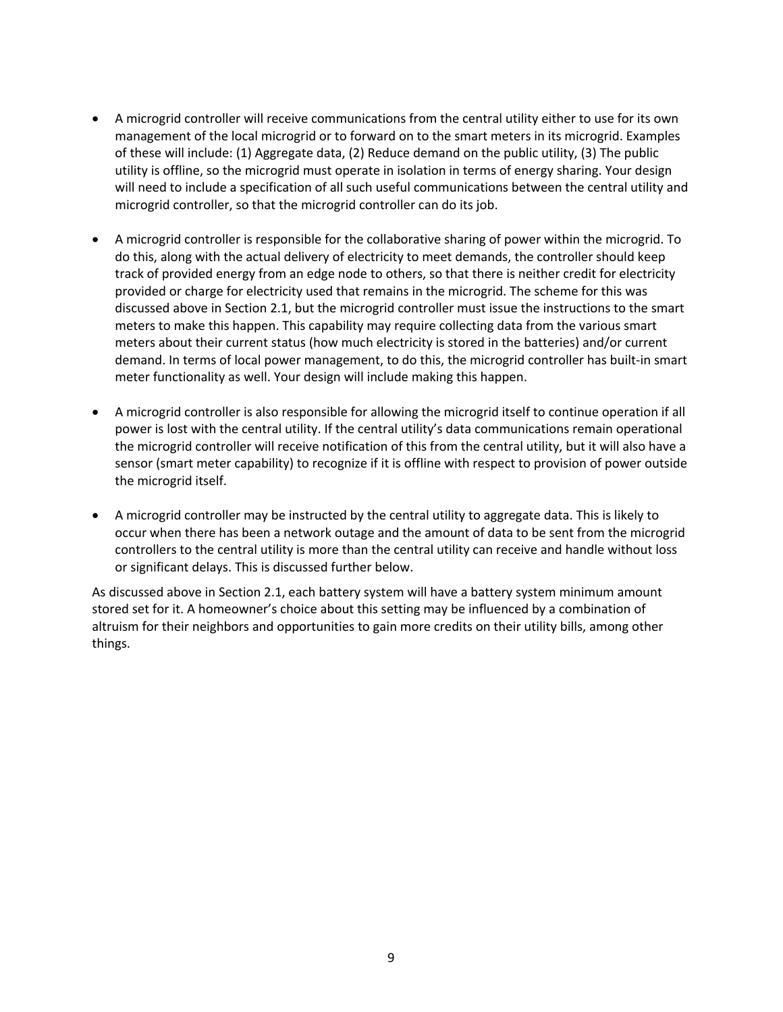- A microgrid controller will receive communications from the central utility either to use for its own management of the local microgrid or to forward on to the smart meters in its microgrid. Examples of these will include: (1) Aggregate data, (2) Reduce demand on the public utility, (3) The public utility is offline, so the microgrid must operate in isolation in terms of energy sharing. Your design will need to include a specification of all such useful communications between the central utility and microgrid controller, so that the microgrid controller can do its job.
- A microgrid controller is responsible for the collaborative sharing of power within the microgrid. To do this, along with the actual delivery of electricity to meet demands, the controller should keep track of provided energy from an edge node to others, so that there is neither credit for electricity provided or charge for electricity used that remains in the microgrid. The scheme for this was discussed above in Section 2.1, but the microgrid controller must issue the instructions to the smart meters to make this happen. This capability may require collecting data from the various smart meters about their current status (how much electricity is stored in the batteries) and/or current demand. In terms of local power management, to do this, the microgrid controller has built-in smart meter functionality as well. Your design will include making this happen.
- A microgrid controller is also responsible for allowing the microgrid itself to continue operation if all power is lost with the central utility. If the central utility's data communications remain operational the microgrid controller will receive notification of this from the central utility, but it will also have a sensor (smart meter capability) to recognize if it is offline with respect to provision of power outside the microgrid itself.
- A microgrid controller may be instructed by the central utility to aggregate data. This is likely to occur when there has been a network outage and the amount of data to be sent from the microgrid controllers to the central utility is more than the central utility can receive and handle without loss or significant delays. This is discussed further below.

As discussed above in Section 2.1, each battery system will have a battery system minimum amount stored set for it. A homeowner's choice about this setting may be influenced by a combination of altruism for their neighbors and opportunities to gain more credits on their utility bills, among other things.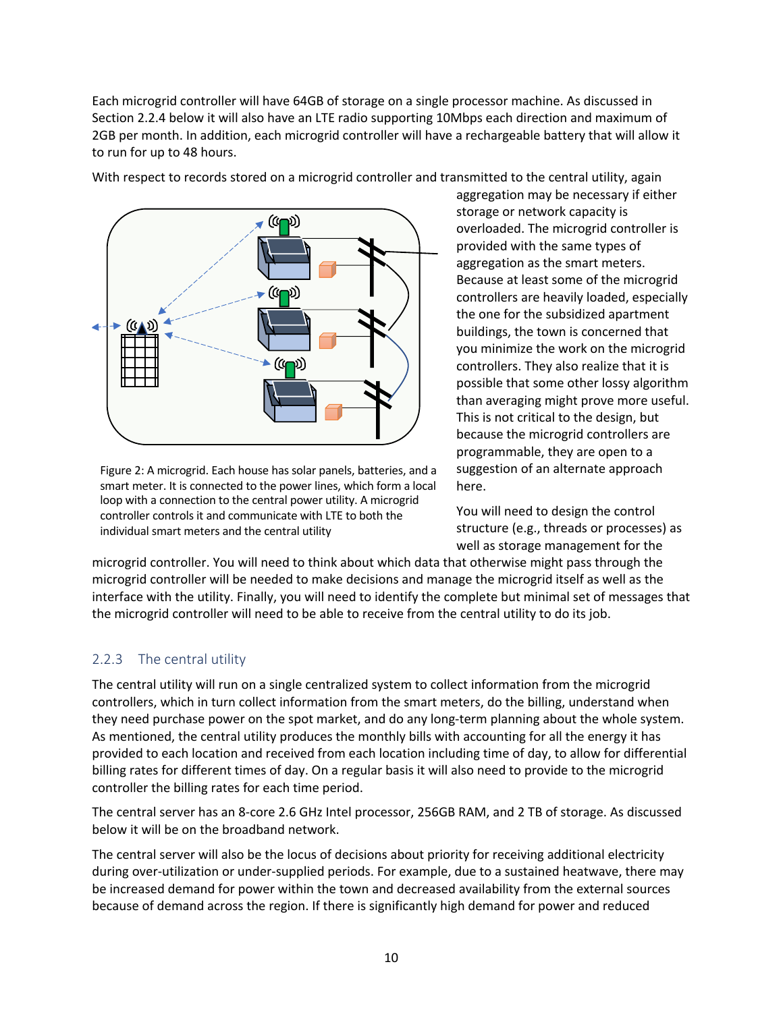Each microgrid controller will have 64GB of storage on a single processor machine. As discussed in Section 2.2.4 below it will also have an LTE radio supporting 10Mbps each direction and maximum of 2GB per month. In addition, each microgrid controller will have a rechargeable battery that will allow it to run for up to 48 hours.



Figure 2: A microgrid. Each house has solar panels, batteries, and a smart meter. It is connected to the power lines, which form a local loop with a connection to the central power utility. A microgrid controller controls it and communicate with LTE to both the individual smart meters and the central utility

suggestion of an alternate approach here.

You will need to design the control structure (e.g., threads or processes) as well as storage management for the

microgrid controller. You will need to think about which data that otherwise might pass through the microgrid controller will be needed to make decisions and manage the microgrid itself as well as the interface with the utility. Finally, you will need to identify the complete but minimal set of messages that the microgrid controller will need to be able to receive from the central utility to do its job.

#### 2.2.3 The central utility

The central utility will run on a single centralized system to collect information from the microgrid controllers, which in turn collect information from the smart meters, do the billing, understand when they need purchase power on the spot market, and do any long-term planning about the whole system. As mentioned, the central utility produces the monthly bills with accounting for all the energy it has provided to each location and received from each location including time of day, to allow for differential billing rates for different times of day. On a regular basis it will also need to provide to the microgrid controller the billing rates for each time period.

The central server has an 8-core 2.6 GHz Intel processor, 256GB RAM, and 2 TB of storage. As discussed below it will be on the broadband network.

The central server will also be the locus of decisions about priority for receiving additional electricity during over-utilization or under-supplied periods. For example, due to a sustained heatwave, there may be increased demand for power within the town and decreased availability from the external sources because of demand across the region. If there is significantly high demand for power and reduced

With respect to records stored on a microgrid controller and transmitted to the central utility, again aggregation may be necessary if either storage or network capacity is overloaded. The microgrid controller is provided with the same types of aggregation as the smart meters. Because at least some of the microgrid controllers are heavily loaded, especially the one for the subsidized apartment buildings, the town is concerned that you minimize the work on the microgrid controllers. They also realize that it is possible that some other lossy algorithm than averaging might prove more useful. This is not critical to the design, but because the microgrid controllers are programmable, they are open to a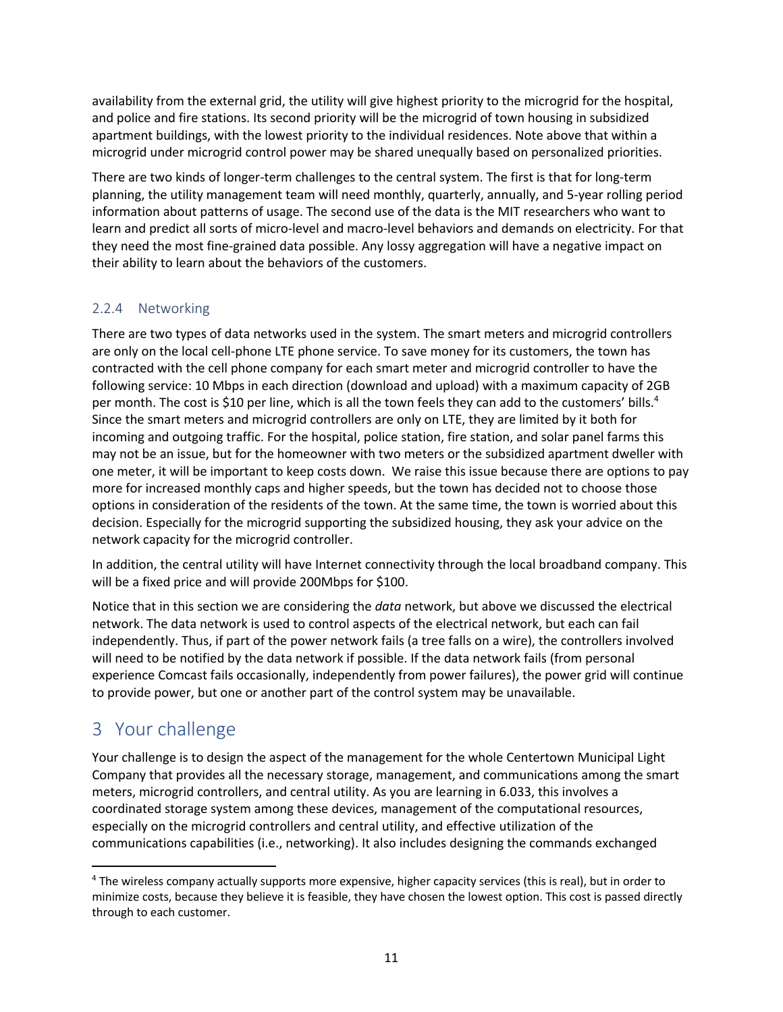availability from the external grid, the utility will give highest priority to the microgrid for the hospital, and police and fire stations. Its second priority will be the microgrid of town housing in subsidized apartment buildings, with the lowest priority to the individual residences. Note above that within a microgrid under microgrid control power may be shared unequally based on personalized priorities.

There are two kinds of longer-term challenges to the central system. The first is that for long-term planning, the utility management team will need monthly, quarterly, annually, and 5-year rolling period information about patterns of usage. The second use of the data is the MIT researchers who want to learn and predict all sorts of micro-level and macro-level behaviors and demands on electricity. For that they need the most fine-grained data possible. Any lossy aggregation will have a negative impact on their ability to learn about the behaviors of the customers.

#### 2.2.4 Networking

There are two types of data networks used in the system. The smart meters and microgrid controllers are only on the local cell-phone LTE phone service. To save money for its customers, the town has contracted with the cell phone company for each smart meter and microgrid controller to have the following service: 10 Mbps in each direction (download and upload) with a maximum capacity of 2GB per month. The cost is \$10 per line, which is all the town feels they can add to the customers' bills.<sup>4</sup> Since the smart meters and microgrid controllers are only on LTE, they are limited by it both for incoming and outgoing traffic. For the hospital, police station, fire station, and solar panel farms this may not be an issue, but for the homeowner with two meters or the subsidized apartment dweller with one meter, it will be important to keep costs down. We raise this issue because there are options to pay more for increased monthly caps and higher speeds, but the town has decided not to choose those options in consideration of the residents of the town. At the same time, the town is worried about this decision. Especially for the microgrid supporting the subsidized housing, they ask your advice on the network capacity for the microgrid controller.

In addition, the central utility will have Internet connectivity through the local broadband company. This will be a fixed price and will provide 200Mbps for \$100.

Notice that in this section we are considering the *data* network, but above we discussed the electrical network. The data network is used to control aspects of the electrical network, but each can fail independently. Thus, if part of the power network fails (a tree falls on a wire), the controllers involved will need to be notified by the data network if possible. If the data network fails (from personal experience Comcast fails occasionally, independently from power failures), the power grid will continue to provide power, but one or another part of the control system may be unavailable.

## 3 Your challenge

Your challenge is to design the aspect of the management for the whole Centertown Municipal Light Company that provides all the necessary storage, management, and communications among the smart meters, microgrid controllers, and central utility. As you are learning in 6.033, this involves a coordinated storage system among these devices, management of the computational resources, especially on the microgrid controllers and central utility, and effective utilization of the communications capabilities (i.e., networking). It also includes designing the commands exchanged

<sup>4</sup> The wireless company actually supports more expensive, higher capacity services (this is real), but in order to minimize costs, because they believe it is feasible, they have chosen the lowest option. This cost is passed directly through to each customer.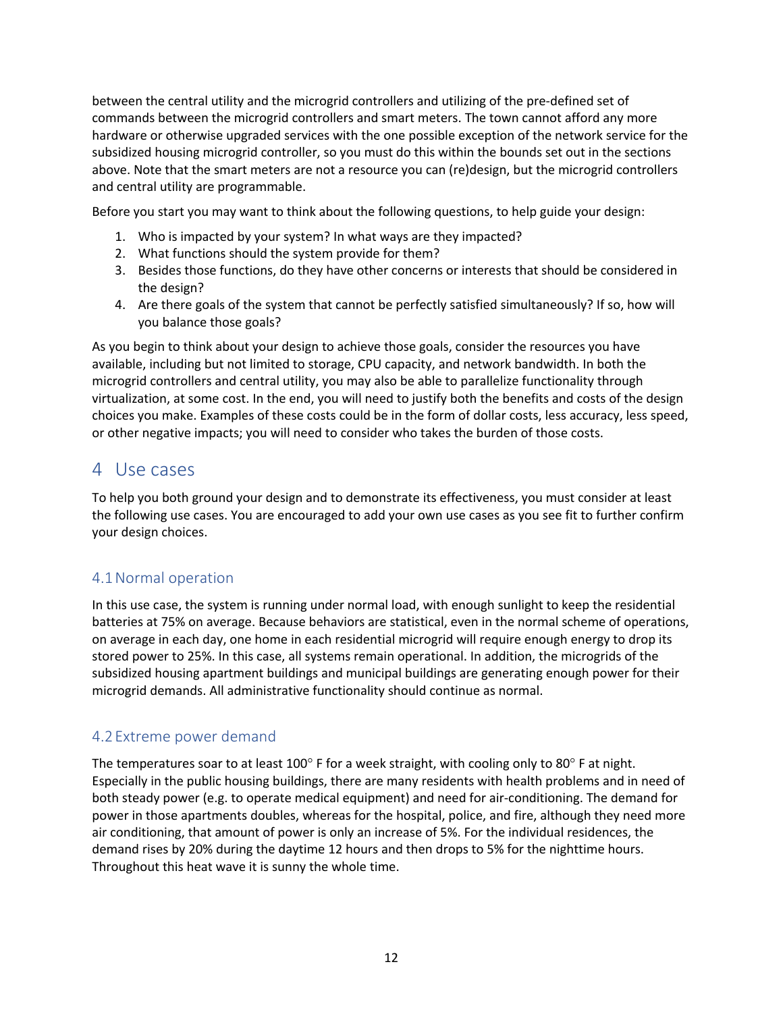between the central utility and the microgrid controllers and utilizing of the pre-defined set of commands between the microgrid controllers and smart meters. The town cannot afford any more hardware or otherwise upgraded services with the one possible exception of the network service for the subsidized housing microgrid controller, so you must do this within the bounds set out in the sections above. Note that the smart meters are not a resource you can (re)design, but the microgrid controllers and central utility are programmable.

Before you start you may want to think about the following questions, to help guide your design:

- 1. Who is impacted by your system? In what ways are they impacted?
- 2. What functions should the system provide for them?
- 3. Besides those functions, do they have other concerns or interests that should be considered in the design?
- 4. Are there goals of the system that cannot be perfectly satisfied simultaneously? If so, how will you balance those goals?

As you begin to think about your design to achieve those goals, consider the resources you have available, including but not limited to storage, CPU capacity, and network bandwidth. In both the microgrid controllers and central utility, you may also be able to parallelize functionality through virtualization, at some cost. In the end, you will need to justify both the benefits and costs of the design choices you make. Examples of these costs could be in the form of dollar costs, less accuracy, less speed, or other negative impacts; you will need to consider who takes the burden of those costs.

### 4 Use cases

To help you both ground your design and to demonstrate its effectiveness, you must consider at least the following use cases. You are encouraged to add your own use cases as you see fit to further confirm your design choices.

### 4.1Normal operation

In this use case, the system is running under normal load, with enough sunlight to keep the residential batteries at 75% on average. Because behaviors are statistical, even in the normal scheme of operations, on average in each day, one home in each residential microgrid will require enough energy to drop its stored power to 25%. In this case, all systems remain operational. In addition, the microgrids of the subsidized housing apartment buildings and municipal buildings are generating enough power for their microgrid demands. All administrative functionality should continue as normal.

#### 4.2 Extreme power demand

The temperatures soar to at least 100° F for a week straight, with cooling only to 80° F at night. Especially in the public housing buildings, there are many residents with health problems and in need of both steady power (e.g. to operate medical equipment) and need for air-conditioning. The demand for power in those apartments doubles, whereas for the hospital, police, and fire, although they need more air conditioning, that amount of power is only an increase of 5%. For the individual residences, the demand rises by 20% during the daytime 12 hours and then drops to 5% for the nighttime hours. Throughout this heat wave it is sunny the whole time.